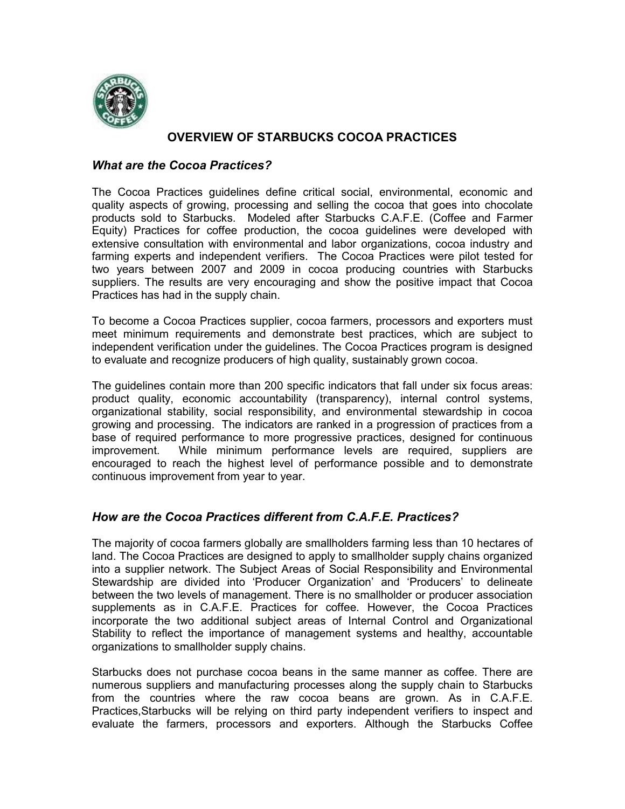

# **OVERVIEW OF STARBUCKS COCOA PRACTICES**

### *What are the Cocoa Practices?*

The Cocoa Practices guidelines define critical social, environmental, economic and quality aspects of growing, processing and selling the cocoa that goes into chocolate products sold to Starbucks. Modeled after Starbucks C.A.F.E. (Coffee and Farmer Equity) Practices for coffee production, the cocoa guidelines were developed with extensive consultation with environmental and labor organizations, cocoa industry and farming experts and independent verifiers. The Cocoa Practices were pilot tested for two years between 2007 and 2009 in cocoa producing countries with Starbucks suppliers. The results are very encouraging and show the positive impact that Cocoa Practices has had in the supply chain.

To become a Cocoa Practices supplier, cocoa farmers, processors and exporters must meet minimum requirements and demonstrate best practices, which are subject to independent verification under the guidelines. The Cocoa Practices program is designed to evaluate and recognize producers of high quality, sustainably grown cocoa.

The guidelines contain more than 200 specific indicators that fall under six focus areas: product quality, economic accountability (transparency), internal control systems, organizational stability, social responsibility, and environmental stewardship in cocoa growing and processing. The indicators are ranked in a progression of practices from a base of required performance to more progressive practices, designed for continuous improvement. While minimum performance levels are required, suppliers are encouraged to reach the highest level of performance possible and to demonstrate continuous improvement from year to year.

## *How are the Cocoa Practices different from C.A.F.E. Practices?*

The majority of cocoa farmers globally are smallholders farming less than 10 hectares of land. The Cocoa Practices are designed to apply to smallholder supply chains organized into a supplier network. The Subject Areas of Social Responsibility and Environmental Stewardship are divided into 'Producer Organization' and 'Producers' to delineate between the two levels of management. There is no smallholder or producer association supplements as in C.A.F.E. Practices for coffee. However, the Cocoa Practices incorporate the two additional subject areas of Internal Control and Organizational Stability to reflect the importance of management systems and healthy, accountable organizations to smallholder supply chains.

Starbucks does not purchase cocoa beans in the same manner as coffee. There are numerous suppliers and manufacturing processes along the supply chain to Starbucks from the countries where the raw cocoa beans are grown. As in C.A.F.E. Practices,Starbucks will be relying on third party independent verifiers to inspect and evaluate the farmers, processors and exporters. Although the Starbucks Coffee